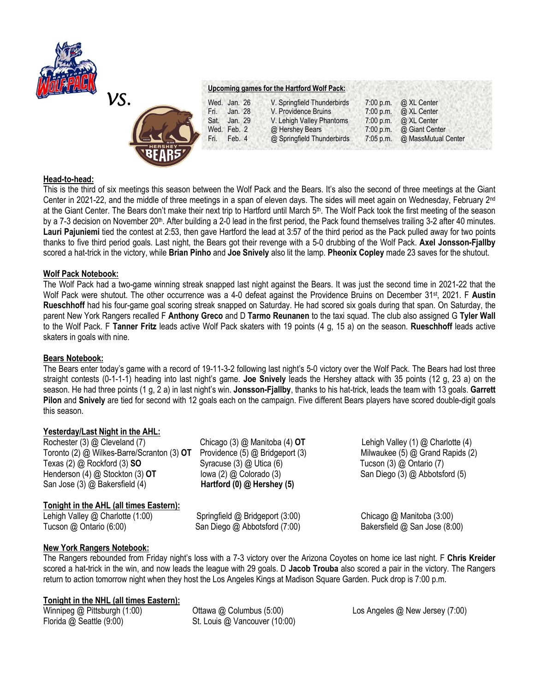



# **Upcoming games for the Hartford Wolf Pack:**

| Wed. Jan. 26    | V. Springfield Thunderbirds | $7:00$ p.m. | @ XL Center                   |
|-----------------|-----------------------------|-------------|-------------------------------|
| Jan. 28<br>Fri. | V. Providence Bruins        | 7:00 p.m.   | @ XL Center                   |
| Jan. 29<br>Sat. | V. Lehigh Valley Phantoms   |             | 7:00 p.m. $\omega$ XL Center  |
| Wed. Feb. 2     | @ Hershey Bears             | 7:00 p.m.   | @ Giant Center                |
| Fri.<br>Feb. 4  | @ Springfield Thunderbirds  |             | 7:05 p.m. @ MassMutual Center |

## **Head-to-head:**

This is the third of six meetings this season between the Wolf Pack and the Bears. It's also the second of three meetings at the Giant Center in 2021-22, and the middle of three meetings in a span of eleven days. The sides will meet again on Wednesday, February 2<sup>nd</sup> at the Giant Center. The Bears don't make their next trip to Hartford until March 5<sup>th</sup>. The Wolf Pack took the first meeting of the season by a 7-3 decision on November 20<sup>th</sup>. After building a 2-0 lead in the first period, the Pack found themselves trailing 3-2 after 40 minutes. **Lauri Pajuniemi** tied the contest at 2:53, then gave Hartford the lead at 3:57 of the third period as the Pack pulled away for two points thanks to five third period goals. Last night, the Bears got their revenge with a 5-0 drubbing of the Wolf Pack. **Axel Jonsson-Fjallby**  scored a hat-trick in the victory, while **Brian Pinho** and **Joe Snively** also lit the lamp. **Pheonix Copley** made 23 saves for the shutout.

## **Wolf Pack Notebook:**

The Wolf Pack had a two-game winning streak snapped last night against the Bears. It was just the second time in 2021-22 that the Wolf Pack were shutout. The other occurrence was a 4-0 defeat against the Providence Bruins on December 31<sup>st</sup>, 2021. F Austin **Rueschhoff** had his four-game goal scoring streak snapped on Saturday. He had scored six goals during that span. On Saturday, the parent New York Rangers recalled F **Anthony Greco** and D **Tarmo Reunanen** to the taxi squad. The club also assigned G **Tyler Wall**  to the Wolf Pack. F **Tanner Fritz** leads active Wolf Pack skaters with 19 points (4 g, 15 a) on the season. **Rueschhoff** leads active skaters in goals with nine.

## **Bears Notebook:**

The Bears enter today's game with a record of 19-11-3-2 following last night's 5-0 victory over the Wolf Pack. The Bears had lost three straight contests (0-1-1-1) heading into last night's game. **Joe Snively** leads the Hershey attack with 35 points (12 g, 23 a) on the season. He had three points (1 g, 2 a) in last night's win. **Jonsson-Fjallby**, thanks to his hat-trick, leads the team with 13 goals. **Garrett Pilon** and **Snively** are tied for second with 12 goals each on the campaign. Five different Bears players have scored double-digit goals this season.

## **Yesterday/Last Night in the AHL:**

| Rochester (3) @ Cleveland (7)              | Chicago (       |
|--------------------------------------------|-----------------|
| Toronto (2) @ Wilkes-Barre/Scranton (3) OT | Providenc       |
| Texas $(2)$ @ Rockford $(3)$ SO            | Syracuse        |
| Henderson (4) @ Stockton (3) OT            | lowa $(2)$      |
| San Jose (3) @ Bakersfield (4)             | <b>Hartford</b> |
|                                            |                 |

## **Tonight in the AHL (all times Eastern):**

Lehigh Valley @ Charlotte (1:00) Springfield @ Bridgeport (3:00) Chicago @ Manitoba (3:00) Tucson @ Ontario (6:00) San Diego @ Abbotsford (7:00) Bakersfield @ San Jose (8:00)

(3) **@** Utica (6) Tucson (3) **@** Ontario (7) Henderson (4) @ Stockton (3) **OT** Iowa (2) @ Colorado (3) San Diego (3) @ Abbotsford (5) San Jose (3) @ Bakersfield (4) **Hartford (0) @ Hershey (5)**

3) @ Manitoba (4) **OT** Lehigh Valley (1) @ Charlotte (4) toronto (5) @ Bridgeport (3) Milwaukee (5) @ Grand Rapids (2)

# **New York Rangers Notebook:**

The Rangers rebounded from Friday night's loss with a 7-3 victory over the Arizona Coyotes on home ice last night. F **Chris Kreider**  scored a hat-trick in the win, and now leads the league with 29 goals. D **Jacob Trouba** also scored a pair in the victory. The Rangers return to action tomorrow night when they host the Los Angeles Kings at Madison Square Garden. Puck drop is 7:00 p.m.

## **Tonight in the NHL (all times Eastern):**

Florida @ Seattle (9:00) St. Louis @ Vancouver (10:00)

Winnipeg @ Pittsburgh (1:00) Chiawa @ Columbus (5:00) Company Los Angeles @ New Jersey (7:00)